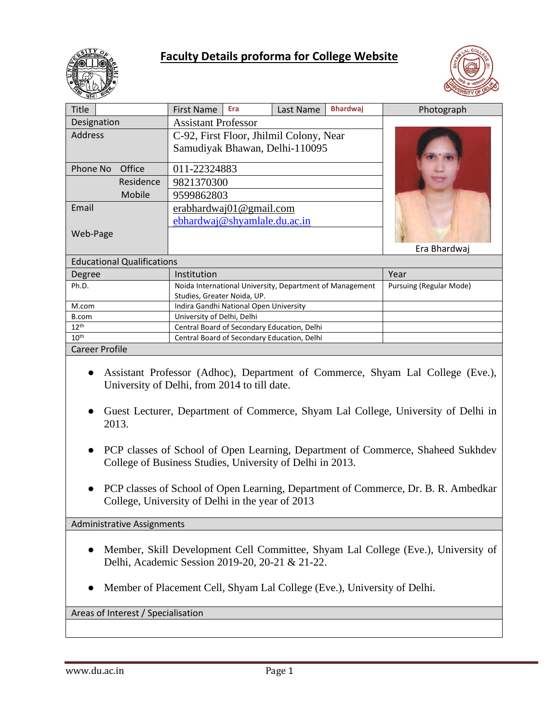

# **Faculty Details proforma for College Website**



| Title                             | Era<br><b>First Name</b>                                 | Last Name | <b>Bhardwaj</b> | Photograph              |
|-----------------------------------|----------------------------------------------------------|-----------|-----------------|-------------------------|
| Designation                       | <b>Assistant Professor</b>                               |           |                 |                         |
|                                   |                                                          |           |                 |                         |
| <b>Address</b>                    | C-92, First Floor, Jhilmil Colony, Near                  |           |                 |                         |
|                                   | Samudiyak Bhawan, Delhi-110095                           |           |                 |                         |
|                                   |                                                          |           |                 |                         |
| Phone No<br>Office                | 011-22324883                                             |           |                 |                         |
| Residence                         | 9821370300                                               |           |                 |                         |
| Mobile                            | 9599862803                                               |           |                 |                         |
| Email                             | erabhardwaj01@gmail.com                                  |           |                 |                         |
|                                   | ebhardwaj@shyamlale.du.ac.in                             |           |                 |                         |
| Web-Page                          |                                                          |           |                 |                         |
|                                   |                                                          |           |                 | Era Bhardwaj            |
| <b>Educational Qualifications</b> |                                                          |           |                 |                         |
| Degree                            | Institution                                              |           |                 | Year                    |
| Ph.D.                             | Noida International University, Department of Management |           |                 | Pursuing (Regular Mode) |
|                                   | Studies, Greater Noida, UP.                              |           |                 |                         |
| M.com                             | Indira Gandhi National Open University                   |           |                 |                         |
| B.com                             | University of Delhi, Delhi                               |           |                 |                         |
| 12 <sup>th</sup>                  | Central Board of Secondary Education, Delhi              |           |                 |                         |
| 10 <sup>th</sup>                  | Central Board of Secondary Education, Delhi              |           |                 |                         |
| <b>Career Profile</b>             |                                                          |           |                 |                         |

- Assistant Professor (Adhoc), Department of Commerce, Shyam Lal College (Eve.), University of Delhi, from 2014 to till date.
- Guest Lecturer, Department of Commerce, Shyam Lal College, University of Delhi in 2013.
- PCP classes of School of Open Learning, Department of Commerce, Shaheed Sukhdev College of Business Studies, University of Delhi in 2013.
- PCP classes of School of Open Learning, Department of Commerce, Dr. B. R. Ambedkar College, University of Delhi in the year of 2013

Administrative Assignments

- Member, Skill Development Cell Committee, Shyam Lal College (Eve.), University of Delhi, Academic Session 2019-20, 20-21 & 21-22.
- Member of Placement Cell, Shyam Lal College (Eve.), University of Delhi.

Areas of Interest / Specialisation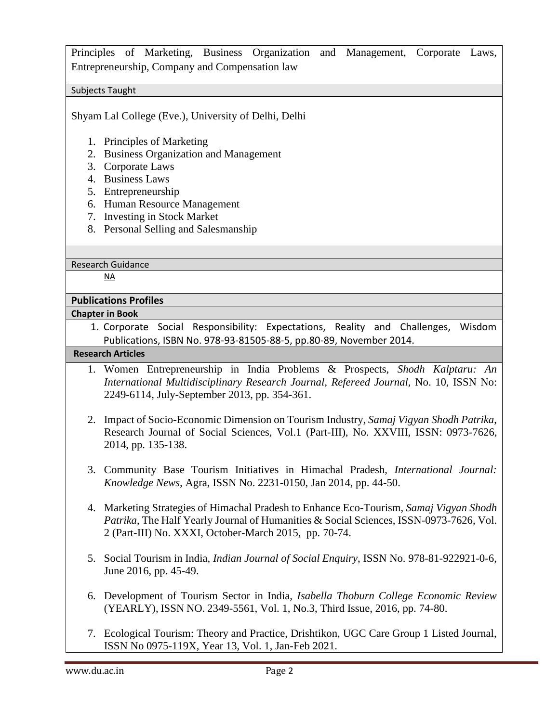Principles of Marketing, Business Organization and Management, Corporate Laws, Entrepreneurship, Company and Compensation law

### Subjects Taught

Shyam Lal College (Eve.), University of Delhi, Delhi

- 1. Principles of Marketing
- 2. Business Organization and Management
- 3. Corporate Laws
- 4. Business Laws
- 5. Entrepreneurship
- 6. Human Resource Management
- 7. Investing in Stock Market
- 8. Personal Selling and Salesmanship

Research Guidance

NA

### **Publications Profiles**

### **Chapter in Book**

1. Corporate Social Responsibility: Expectations, Reality and Challenges, Wisdom Publications, ISBN No. 978-93-81505-88-5, pp.80-89, November 2014.

## **Research Articles**

- 1. Women Entrepreneurship in India Problems & Prospects, *Shodh Kalptaru: An International Multidisciplinary Research Journal, Refereed Journal,* No. 10, ISSN No: 2249-6114, July-September 2013, pp. 354-361.
- 2. Impact of Socio-Economic Dimension on Tourism Industry*, Samaj Vigyan Shodh Patrika*, Research Journal of Social Sciences, Vol.1 (Part-III), No. XXVIII, ISSN: 0973-7626, 2014, pp. 135-138.
- 3. Community Base Tourism Initiatives in Himachal Pradesh, *International Journal: Knowledge News,* Agra, ISSN No. 2231-0150, Jan 2014, pp. 44-50.
- 4. Marketing Strategies of Himachal Pradesh to Enhance Eco-Tourism, *Samaj Vigyan Shodh Patrika*, The Half Yearly Journal of Humanities & Social Sciences, ISSN-0973-7626, Vol. 2 (Part-III) No. XXXI, October-March 2015, pp. 70-74.
- 5. Social Tourism in India, *Indian Journal of Social Enquiry*, ISSN No. 978-81-922921-0-6, June 2016, pp. 45-49.
- 6. Development of Tourism Sector in India, *Isabella Thoburn College Economic Review*  (YEARLY), ISSN NO. 2349-5561, Vol. 1, No.3, Third Issue, 2016, pp. 74-80.
- 7. Ecological Tourism: Theory and Practice, Drishtikon, UGC Care Group 1 Listed Journal, ISSN No 0975-119X, Year 13, Vol. 1, Jan-Feb 2021.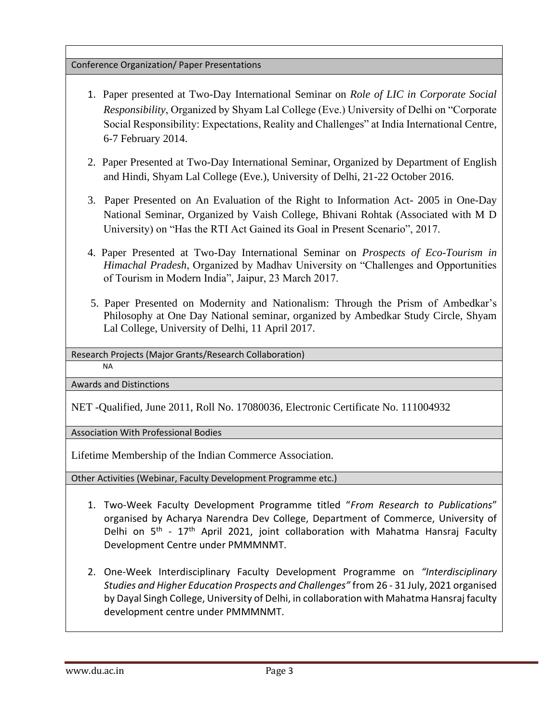### Conference Organization/ Paper Presentations

- 1. Paper presented at Two-Day International Seminar on *Role of LIC in Corporate Social Responsibility*, Organized by Shyam Lal College (Eve.) University of Delhi on "Corporate Social Responsibility: Expectations, Reality and Challenges" at India International Centre, 6-7 February 2014.
- 2. Paper Presented at Two-Day International Seminar, Organized by Department of English and Hindi, Shyam Lal College (Eve.), University of Delhi, 21-22 October 2016.
- 3. Paper Presented on An Evaluation of the Right to Information Act- 2005 in One-Day National Seminar, Organized by Vaish College, Bhivani Rohtak (Associated with M D University) on "Has the RTI Act Gained its Goal in Present Scenario", 2017.
- 4. Paper Presented at Two-Day International Seminar on *Prospects of Eco-Tourism in Himachal Pradesh*, Organized by Madhav University on "Challenges and Opportunities of Tourism in Modern India", Jaipur, 23 March 2017.
- 5. Paper Presented on Modernity and Nationalism: Through the Prism of Ambedkar's Philosophy at One Day National seminar, organized by Ambedkar Study Circle, Shyam Lal College, University of Delhi, 11 April 2017.

Research Projects (Major Grants/Research Collaboration)

NA

Awards and Distinctions

NET -Qualified, June 2011, Roll No. 17080036, Electronic Certificate No. 111004932

Association With Professional Bodies

Lifetime Membership of the Indian Commerce Association.

Other Activities (Webinar, Faculty Development Programme etc.)

- 1. Two-Week Faculty Development Programme titled "*From Research to Publications*" organised by Acharya Narendra Dev College, Department of Commerce, University of Delhi on 5<sup>th</sup> - 17<sup>th</sup> April 2021, joint collaboration with Mahatma Hansraj Faculty Development Centre under PMMMNMT.
- 2. One-Week Interdisciplinary Faculty Development Programme on *"Interdisciplinary Studies and Higher Education Prospects and Challenges"* from 26 - 31 July, 2021 organised by Dayal Singh College, University of Delhi, in collaboration with Mahatma Hansraj faculty development centre under PMMMNMT.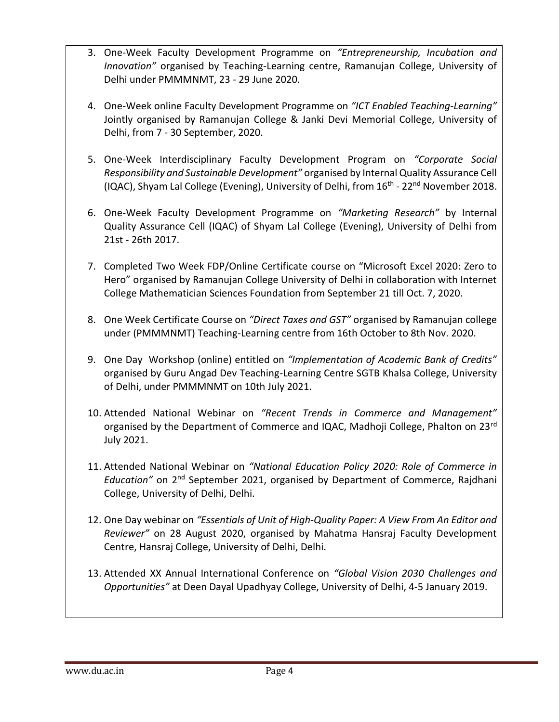- 3. One-Week Faculty Development Programme on *"Entrepreneurship, Incubation and Innovation"* organised by Teaching-Learning centre, Ramanujan College, University of Delhi under PMMMNMT, 23 - 29 June 2020.
- 4. One-Week online Faculty Development Programme on *"ICT Enabled Teaching-Learning"* Jointly organised by Ramanujan College & Janki Devi Memorial College, University of Delhi, from 7 - 30 September, 2020.
- 5. One-Week Interdisciplinary Faculty Development Program on *"Corporate Social Responsibility and Sustainable Development"* organised by Internal Quality Assurance Cell (IQAC), Shyam Lal College (Evening), University of Delhi, from 16<sup>th</sup> - 22<sup>nd</sup> November 2018.
- 6. One-Week Faculty Development Programme on *"Marketing Research"* by Internal Quality Assurance Cell (IQAC) of Shyam Lal College (Evening), University of Delhi from 21st - 26th 2017.
- 7. Completed Two Week FDP/Online Certificate course on "Microsoft Excel 2020: Zero to Hero" organised by Ramanujan College University of Delhi in collaboration with Internet College Mathematician Sciences Foundation from September 21 till Oct. 7, 2020.
- 8. One Week Certificate Course on *"Direct Taxes and GST"* organised by Ramanujan college under (PMMMNMT) Teaching-Learning centre from 16th October to 8th Nov. 2020.
- 9. One Day Workshop (online) entitled on *"Implementation of Academic Bank of Credits"* organised by Guru Angad Dev Teaching-Learning Centre SGTB Khalsa College, University of Delhi, under PMMMNMT on 10th July 2021.
- 10. Attended National Webinar on *"Recent Trends in Commerce and Management"* organised by the Department of Commerce and IQAC, Madhoji College, Phalton on 23<sup>rd</sup> July 2021.
- 11. Attended National Webinar on *"National Education Policy 2020: Role of Commerce in Education"* on 2nd September 2021, organised by Department of Commerce, Rajdhani College, University of Delhi, Delhi.
- 12. One Day webinar on *"Essentials of Unit of High-Quality Paper: A View From An Editor and Reviewer"* on 28 August 2020, organised by Mahatma Hansraj Faculty Development Centre, Hansraj College, University of Delhi, Delhi.
- 13. Attended XX Annual International Conference on *"Global Vision 2030 Challenges and Opportunities"* at Deen Dayal Upadhyay College, University of Delhi, 4-5 January 2019.